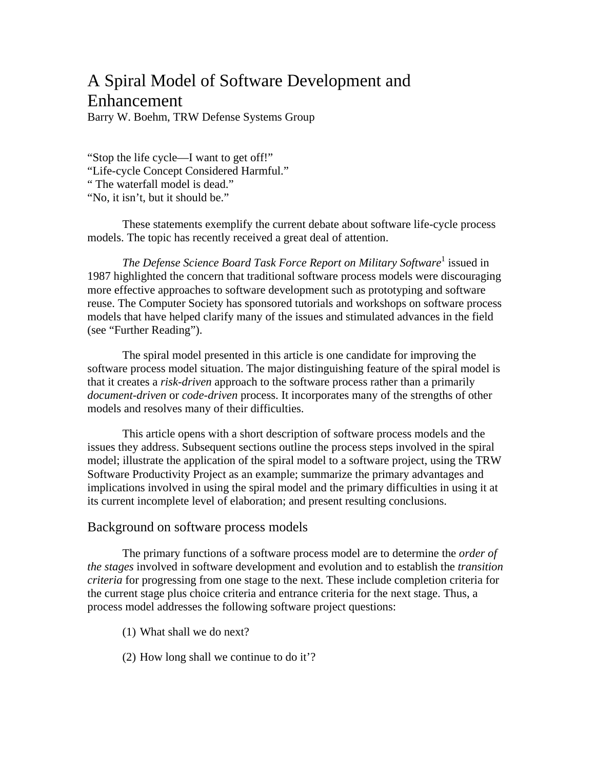# A Spiral Model of Software Development and Enhancement

Barry W. Boehm, TRW Defense Systems Group

"Stop the life cycle—I want to get off!" "Life-cycle Concept Considered Harmful." " The waterfall model is dead." "No, it isn't, but it should be."

These statements exemplify the current debate about software life-cycle process models. The topic has recently received a great deal of attention.

The Defense Science Board Task Force Report on Military Software<sup>1</sup> issued in 1987 highlighted the concern that traditional software process models were discouraging more effective approaches to software development such as prototyping and software reuse. The Computer Society has sponsored tutorials and workshops on software process models that have helped clarify many of the issues and stimulated advances in the field (see "Further Reading").

The spiral model presented in this article is one candidate for improving the software process model situation. The major distinguishing feature of the spiral model is that it creates a *risk-driven* approach to the software process rather than a primarily *document-driven* or *code-driven* process. It incorporates many of the strengths of other models and resolves many of their difficulties.

This article opens with a short description of software process models and the issues they address. Subsequent sections outline the process steps involved in the spiral model; illustrate the application of the spiral model to a software project, using the TRW Software Productivity Project as an example; summarize the primary advantages and implications involved in using the spiral model and the primary difficulties in using it at its current incomplete level of elaboration; and present resulting conclusions.

## Background on software process models

The primary functions of a software process model are to determine the *order of the stages* involved in software development and evolution and to establish the *transition criteria* for progressing from one stage to the next. These include completion criteria for the current stage plus choice criteria and entrance criteria for the next stage. Thus, a process model addresses the following software project questions:

- (1) What shall we do next?
- (2) How long shall we continue to do it'?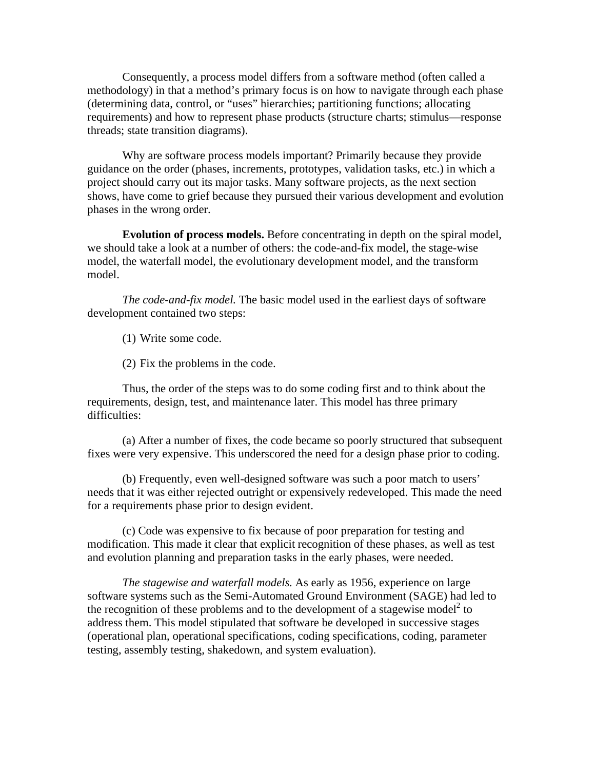Consequently, a process model differs from a software method (often called a methodology) in that a method's primary focus is on how to navigate through each phase (determining data, control, or "uses" hierarchies; partitioning functions; allocating requirements) and how to represent phase products (structure charts; stimulus—response threads; state transition diagrams).

Why are software process models important? Primarily because they provide guidance on the order (phases, increments, prototypes, validation tasks, etc.) in which a project should carry out its major tasks. Many software projects, as the next section shows, have come to grief because they pursued their various development and evolution phases in the wrong order.

**Evolution of process models.** Before concentrating in depth on the spiral model, we should take a look at a number of others: the code-and-fix model, the stage-wise model, the waterfall model, the evolutionary development model, and the transform model.

*The code-and-fix model.* The basic model used in the earliest days of software development contained two steps:

(1) Write some code.

(2) Fix the problems in the code.

Thus, the order of the steps was to do some coding first and to think about the requirements, design, test, and maintenance later. This model has three primary difficulties:

(a) After a number of fixes, the code became so poorly structured that subsequent fixes were very expensive. This underscored the need for a design phase prior to coding.

(b) Frequently, even well-designed software was such a poor match to users' needs that it was either rejected outright or expensively redeveloped. This made the need for a requirements phase prior to design evident.

(c) Code was expensive to fix because of poor preparation for testing and modification. This made it clear that explicit recognition of these phases, as well as test and evolution planning and preparation tasks in the early phases, were needed.

*The stagewise and waterfall models.* As early as 1956, experience on large software systems such as the Semi-Automated Ground Environment (SAGE) had led to the recognition of these problems and to the development of a stagewise model<sup>2</sup> to address them. This model stipulated that software be developed in successive stages (operational plan, operational specifications, coding specifications, coding, parameter testing, assembly testing, shakedown, and system evaluation).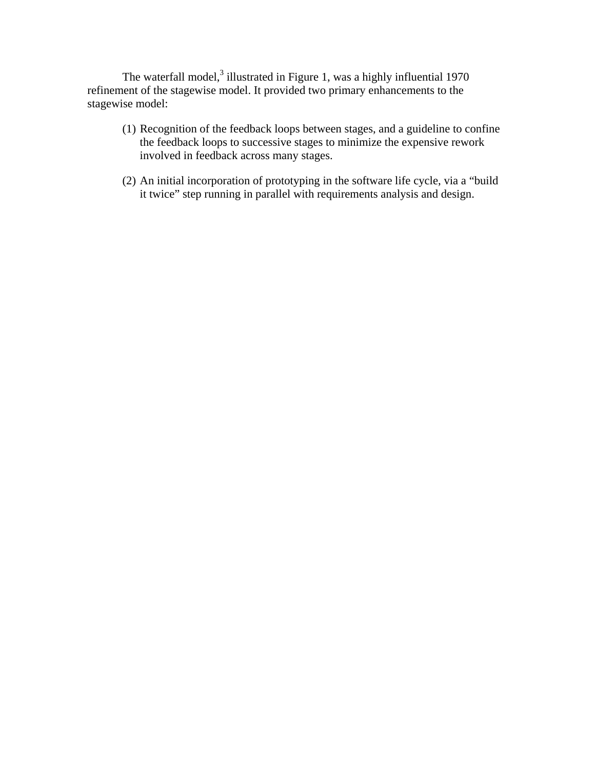The waterfall model, $3$  illustrated in Figure 1, was a highly influential 1970 refinement of the stagewise model. It provided two primary enhancements to the stagewise model:

- (1) Recognition of the feedback loops between stages, and a guideline to confine the feedback loops to successive stages to minimize the expensive rework involved in feedback across many stages.
- (2) An initial incorporation of prototyping in the software life cycle, via a "build it twice" step running in parallel with requirements analysis and design.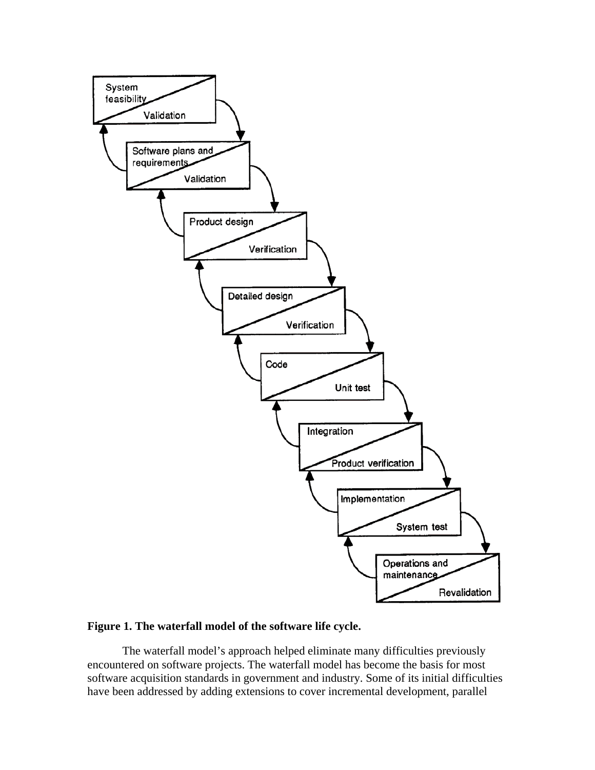

#### **Figure 1. The waterfall model of the software life cycle.**

The waterfall model's approach helped eliminate many difficulties previously encountered on software projects. The waterfall model has become the basis for most software acquisition standards in government and industry. Some of its initial difficulties have been addressed by adding extensions to cover incremental development, parallel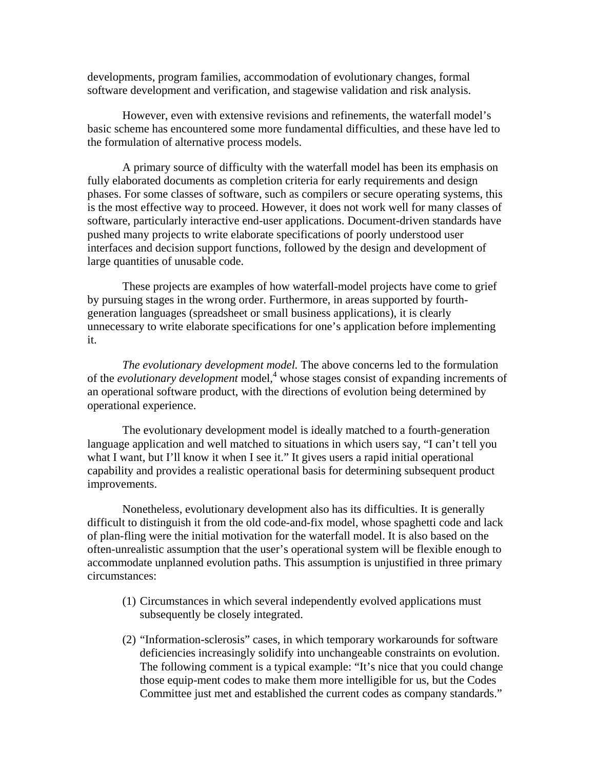developments, program families, accommodation of evolutionary changes, formal software development and verification, and stagewise validation and risk analysis.

However, even with extensive revisions and refinements, the waterfall model's basic scheme has encountered some more fundamental difficulties, and these have led to the formulation of alternative process models.

A primary source of difficulty with the waterfall model has been its emphasis on fully elaborated documents as completion criteria for early requirements and design phases. For some classes of software, such as compilers or secure operating systems, this is the most effective way to proceed. However, it does not work well for many classes of software, particularly interactive end-user applications. Document-driven standards have pushed many projects to write elaborate specifications of poorly understood user interfaces and decision support functions, followed by the design and development of large quantities of unusable code.

These projects are examples of how waterfall-model projects have come to grief by pursuing stages in the wrong order. Furthermore, in areas supported by fourthgeneration languages (spreadsheet or small business applications), it is clearly unnecessary to write elaborate specifications for one's application before implementing it.

*The evolutionary development model.* The above concerns led to the formulation of the *evolutionary development* model,<sup>4</sup> whose stages consist of expanding increments of an operational software product, with the directions of evolution being determined by operational experience.

The evolutionary development model is ideally matched to a fourth-generation language application and well matched to situations in which users say, "I can't tell you what I want, but I'll know it when I see it." It gives users a rapid initial operational capability and provides a realistic operational basis for determining subsequent product improvements.

Nonetheless, evolutionary development also has its difficulties. It is generally difficult to distinguish it from the old code-and-fix model, whose spaghetti code and lack of plan-fling were the initial motivation for the waterfall model. It is also based on the often-unrealistic assumption that the user's operational system will be flexible enough to accommodate unplanned evolution paths. This assumption is unjustified in three primary circumstances:

- (1) Circumstances in which several independently evolved applications must subsequently be closely integrated.
- (2) "Information-sclerosis" cases, in which temporary workarounds for software deficiencies increasingly solidify into unchangeable constraints on evolution. The following comment is a typical example: "It's nice that you could change those equip-ment codes to make them more intelligible for us, but the Codes Committee just met and established the current codes as company standards."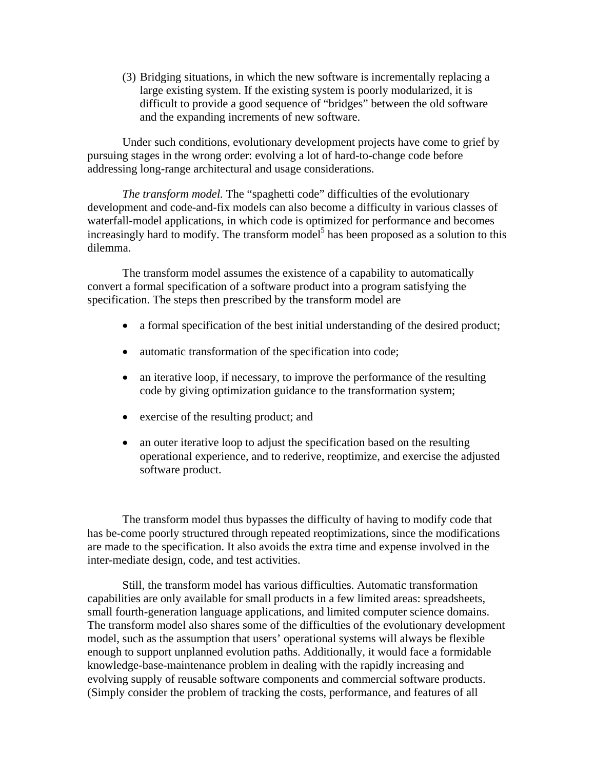(3) Bridging situations, in which the new software is incrementally replacing a large existing system. If the existing system is poorly modularized, it is difficult to provide a good sequence of "bridges" between the old software and the expanding increments of new software.

Under such conditions, evolutionary development projects have come to grief by pursuing stages in the wrong order: evolving a lot of hard-to-change code before addressing long-range architectural and usage considerations.

*The transform model.* The "spaghetti code" difficulties of the evolutionary development and code-and-fix models can also become a difficulty in various classes of waterfall-model applications, in which code is optimized for performance and becomes increasingly hard to modify. The transform model<sup>5</sup> has been proposed as a solution to this dilemma.

The transform model assumes the existence of a capability to automatically convert a formal specification of a software product into a program satisfying the specification. The steps then prescribed by the transform model are

- a formal specification of the best initial understanding of the desired product;
- automatic transformation of the specification into code;
- an iterative loop, if necessary, to improve the performance of the resulting code by giving optimization guidance to the transformation system;
- exercise of the resulting product; and
- an outer iterative loop to adjust the specification based on the resulting operational experience, and to rederive, reoptimize, and exercise the adjusted software product.

The transform model thus bypasses the difficulty of having to modify code that has be-come poorly structured through repeated reoptimizations, since the modifications are made to the specification. It also avoids the extra time and expense involved in the inter-mediate design, code, and test activities.

Still, the transform model has various difficulties. Automatic transformation capabilities are only available for small products in a few limited areas: spreadsheets, small fourth-generation language applications, and limited computer science domains. The transform model also shares some of the difficulties of the evolutionary development model, such as the assumption that users' operational systems will always be flexible enough to support unplanned evolution paths. Additionally, it would face a formidable knowledge-base-maintenance problem in dealing with the rapidly increasing and evolving supply of reusable software components and commercial software products. (Simply consider the problem of tracking the costs, performance, and features of all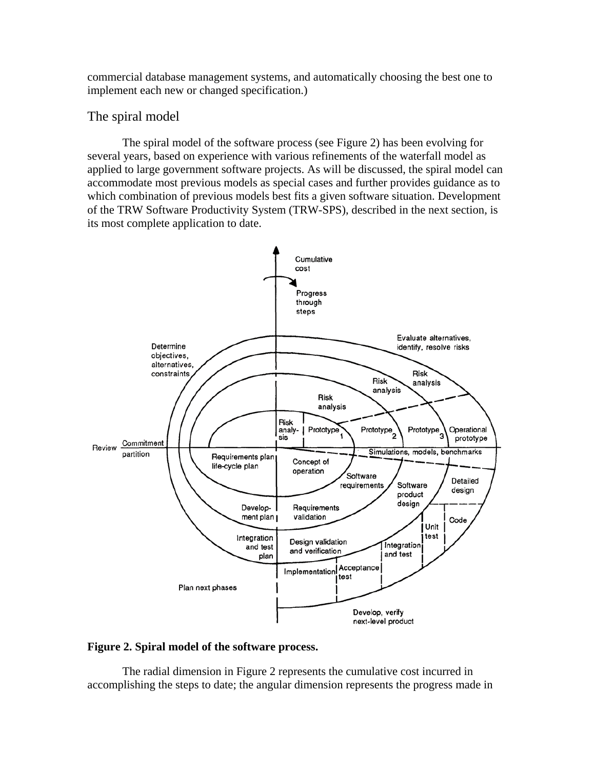commercial database management systems, and automatically choosing the best one to implement each new or changed specification.)

# The spiral model

The spiral model of the software process (see Figure 2) has been evolving for several years, based on experience with various refinements of the waterfall model as applied to large government software projects. As will be discussed, the spiral model can accommodate most previous models as special cases and further provides guidance as to which combination of previous models best fits a given software situation. Development of the TRW Software Productivity System (TRW-SPS), described in the next section, is its most complete application to date.



#### **Figure 2. Spiral model of the software process.**

The radial dimension in Figure 2 represents the cumulative cost incurred in accomplishing the steps to date; the angular dimension represents the progress made in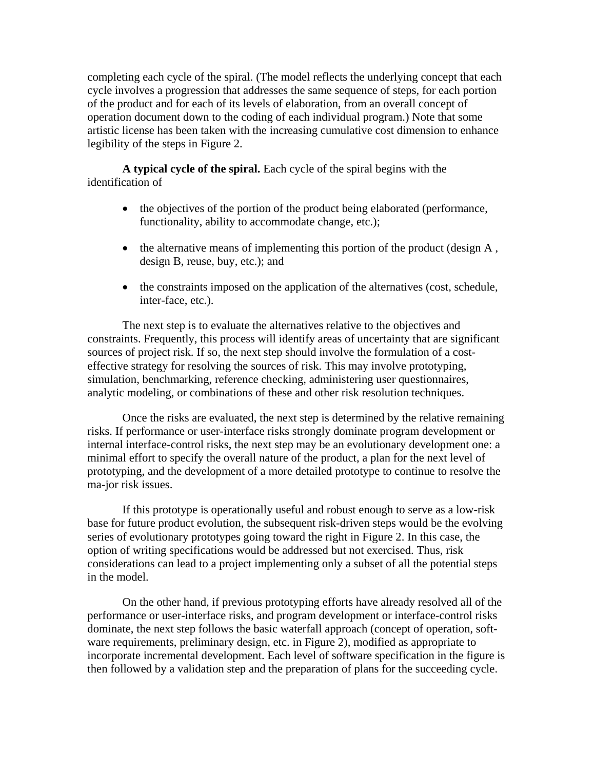completing each cycle of the spiral. (The model reflects the underlying concept that each cycle involves a progression that addresses the same sequence of steps, for each portion of the product and for each of its levels of elaboration, from an overall concept of operation document down to the coding of each individual program.) Note that some artistic license has been taken with the increasing cumulative cost dimension to enhance legibility of the steps in Figure 2.

**A typical cycle of the spiral.** Each cycle of the spiral begins with the identification of

- the objectives of the portion of the product being elaborated (performance, functionality, ability to accommodate change, etc.);
- the alternative means of implementing this portion of the product (design  $A$ , design B, reuse, buy, etc.); and
- the constraints imposed on the application of the alternatives (cost, schedule, inter-face, etc.).

The next step is to evaluate the alternatives relative to the objectives and constraints. Frequently, this process will identify areas of uncertainty that are significant sources of project risk. If so, the next step should involve the formulation of a costeffective strategy for resolving the sources of risk. This may involve prototyping, simulation, benchmarking, reference checking, administering user questionnaires, analytic modeling, or combinations of these and other risk resolution techniques.

Once the risks are evaluated, the next step is determined by the relative remaining risks. If performance or user-interface risks strongly dominate program development or internal interface-control risks, the next step may be an evolutionary development one: a minimal effort to specify the overall nature of the product, a plan for the next level of prototyping, and the development of a more detailed prototype to continue to resolve the ma-jor risk issues.

If this prototype is operationally useful and robust enough to serve as a low-risk base for future product evolution, the subsequent risk-driven steps would be the evolving series of evolutionary prototypes going toward the right in Figure 2. In this case, the option of writing specifications would be addressed but not exercised. Thus, risk considerations can lead to a project implementing only a subset of all the potential steps in the model.

On the other hand, if previous prototyping efforts have already resolved all of the performance or user-interface risks, and program development or interface-control risks dominate, the next step follows the basic waterfall approach (concept of operation, software requirements, preliminary design, etc. in Figure 2), modified as appropriate to incorporate incremental development. Each level of software specification in the figure is then followed by a validation step and the preparation of plans for the succeeding cycle.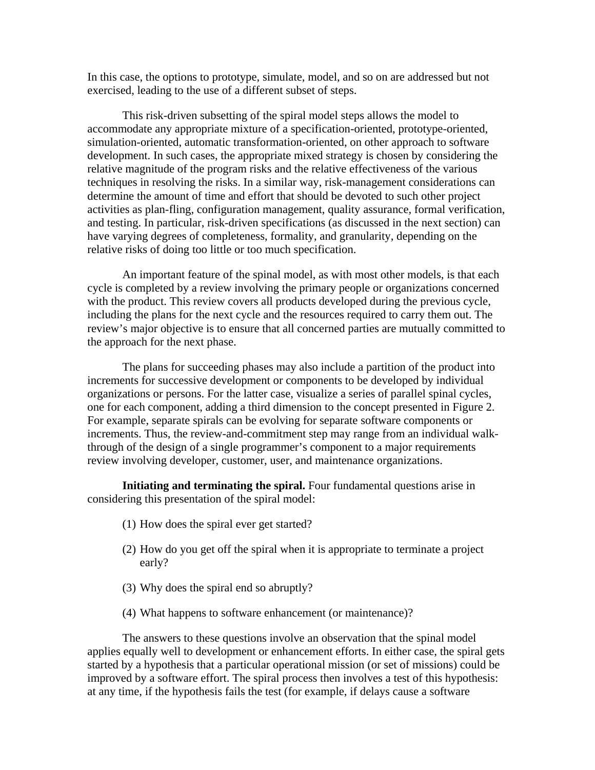In this case, the options to prototype, simulate, model, and so on are addressed but not exercised, leading to the use of a different subset of steps.

This risk-driven subsetting of the spiral model steps allows the model to accommodate any appropriate mixture of a specification-oriented, prototype-oriented, simulation-oriented, automatic transformation-oriented, on other approach to software development. In such cases, the appropriate mixed strategy is chosen by considering the relative magnitude of the program risks and the relative effectiveness of the various techniques in resolving the risks. In a similar way, risk-management considerations can determine the amount of time and effort that should be devoted to such other project activities as plan-fling, configuration management, quality assurance, formal verification, and testing. In particular, risk-driven specifications (as discussed in the next section) can have varying degrees of completeness, formality, and granularity, depending on the relative risks of doing too little or too much specification.

An important feature of the spinal model, as with most other models, is that each cycle is completed by a review involving the primary people or organizations concerned with the product. This review covers all products developed during the previous cycle, including the plans for the next cycle and the resources required to carry them out. The review's major objective is to ensure that all concerned parties are mutually committed to the approach for the next phase.

The plans for succeeding phases may also include a partition of the product into increments for successive development or components to be developed by individual organizations or persons. For the latter case, visualize a series of parallel spinal cycles, one for each component, adding a third dimension to the concept presented in Figure 2. For example, separate spirals can be evolving for separate software components or increments. Thus, the review-and-commitment step may range from an individual walkthrough of the design of a single programmer's component to a major requirements review involving developer, customer, user, and maintenance organizations.

**Initiating and terminating the spiral.** Four fundamental questions arise in considering this presentation of the spiral model:

- (1) How does the spiral ever get started?
- (2) How do you get off the spiral when it is appropriate to terminate a project early?
- (3) Why does the spiral end so abruptly?
- (4) What happens to software enhancement (or maintenance)?

The answers to these questions involve an observation that the spinal model applies equally well to development or enhancement efforts. In either case, the spiral gets started by a hypothesis that a particular operational mission (or set of missions) could be improved by a software effort. The spiral process then involves a test of this hypothesis: at any time, if the hypothesis fails the test (for example, if delays cause a software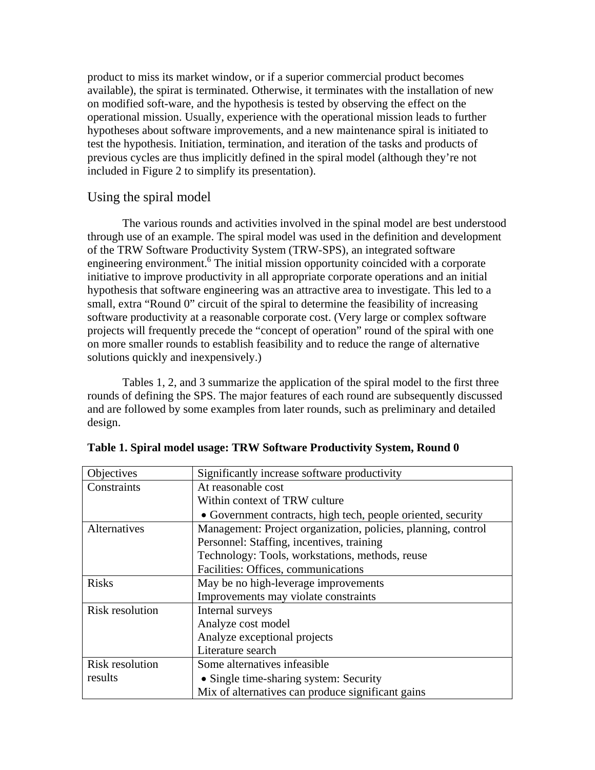product to miss its market window, or if a superior commercial product becomes available), the spirat is terminated. Otherwise, it terminates with the installation of new on modified soft-ware, and the hypothesis is tested by observing the effect on the operational mission. Usually, experience with the operational mission leads to further hypotheses about software improvements, and a new maintenance spiral is initiated to test the hypothesis. Initiation, termination, and iteration of the tasks and products of previous cycles are thus implicitly defined in the spiral model (although they're not included in Figure 2 to simplify its presentation).

# Using the spiral model

The various rounds and activities involved in the spinal model are best understood through use of an example. The spiral model was used in the definition and development of the TRW Software Productivity System (TRW-SPS), an integrated software engineering environment.<sup>6</sup> The initial mission opportunity coincided with a corporate initiative to improve productivity in all appropriate corporate operations and an initial hypothesis that software engineering was an attractive area to investigate. This led to a small, extra "Round 0" circuit of the spiral to determine the feasibility of increasing software productivity at a reasonable corporate cost. (Very large or complex software projects will frequently precede the "concept of operation" round of the spiral with one on more smaller rounds to establish feasibility and to reduce the range of alternative solutions quickly and inexpensively.)

Tables 1, 2, and 3 summarize the application of the spiral model to the first three rounds of defining the SPS. The major features of each round are subsequently discussed and are followed by some examples from later rounds, such as preliminary and detailed design.

| Objectives             | Significantly increase software productivity                  |
|------------------------|---------------------------------------------------------------|
| Constraints            | At reasonable cost                                            |
|                        | Within context of TRW culture                                 |
|                        | • Government contracts, high tech, people oriented, security  |
| Alternatives           | Management: Project organization, policies, planning, control |
|                        | Personnel: Staffing, incentives, training                     |
|                        | Technology: Tools, workstations, methods, reuse               |
|                        | Facilities: Offices, communications                           |
| <b>Risks</b>           | May be no high-leverage improvements                          |
|                        | Improvements may violate constraints                          |
| Risk resolution        | Internal surveys                                              |
|                        | Analyze cost model                                            |
|                        | Analyze exceptional projects                                  |
|                        | Literature search                                             |
| <b>Risk resolution</b> | Some alternatives infeasible                                  |
| results                | • Single time-sharing system: Security                        |
|                        | Mix of alternatives can produce significant gains             |

| Table 1. Spiral model usage: TRW Software Productivity System, Round 0 |  |  |  |
|------------------------------------------------------------------------|--|--|--|
|                                                                        |  |  |  |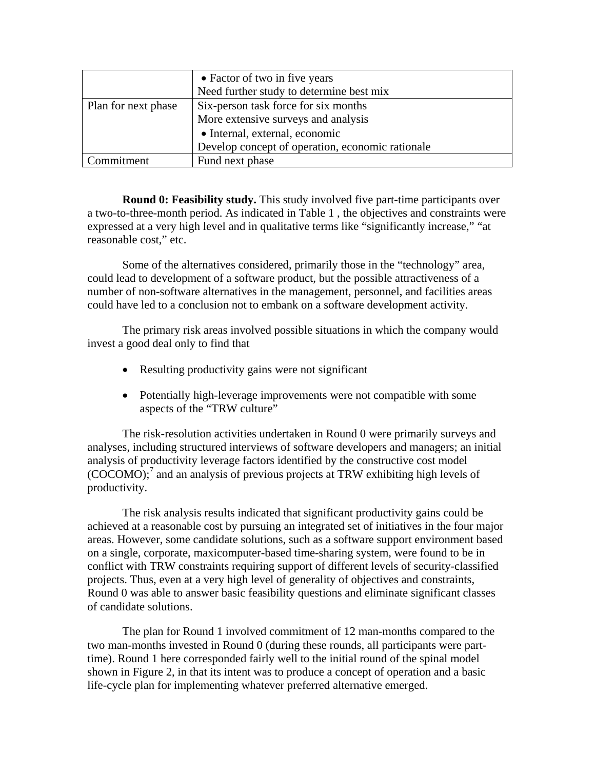|                     | • Factor of two in five years                    |
|---------------------|--------------------------------------------------|
|                     | Need further study to determine best mix         |
| Plan for next phase | Six-person task force for six months             |
|                     | More extensive surveys and analysis              |
|                     | • Internal, external, economic                   |
|                     | Develop concept of operation, economic rationale |
| Commitment          | Fund next phase                                  |

**Round 0: Feasibility study.** This study involved five part-time participants over a two-to-three-month period. As indicated in Table 1 , the objectives and constraints were expressed at a very high level and in qualitative terms like "significantly increase," "at reasonable cost," etc.

Some of the alternatives considered, primarily those in the "technology" area, could lead to development of a software product, but the possible attractiveness of a number of non-software alternatives in the management, personnel, and facilities areas could have led to a conclusion not to embank on a software development activity.

The primary risk areas involved possible situations in which the company would invest a good deal only to find that

- Resulting productivity gains were not significant
- Potentially high-leverage improvements were not compatible with some aspects of the "TRW culture"

The risk-resolution activities undertaken in Round 0 were primarily surveys and analyses, including structured interviews of software developers and managers; an initial analysis of productivity leverage factors identified by the constructive cost model  $(COCOMO)$ ;<sup>7</sup> and an analysis of previous projects at TRW exhibiting high levels of productivity.

The risk analysis results indicated that significant productivity gains could be achieved at a reasonable cost by pursuing an integrated set of initiatives in the four major areas. However, some candidate solutions, such as a software support environment based on a single, corporate, maxicomputer-based time-sharing system, were found to be in conflict with TRW constraints requiring support of different levels of security-classified projects. Thus, even at a very high level of generality of objectives and constraints, Round 0 was able to answer basic feasibility questions and eliminate significant classes of candidate solutions.

The plan for Round 1 involved commitment of 12 man-months compared to the two man-months invested in Round 0 (during these rounds, all participants were parttime). Round 1 here corresponded fairly well to the initial round of the spinal model shown in Figure 2, in that its intent was to produce a concept of operation and a basic life-cycle plan for implementing whatever preferred alternative emerged.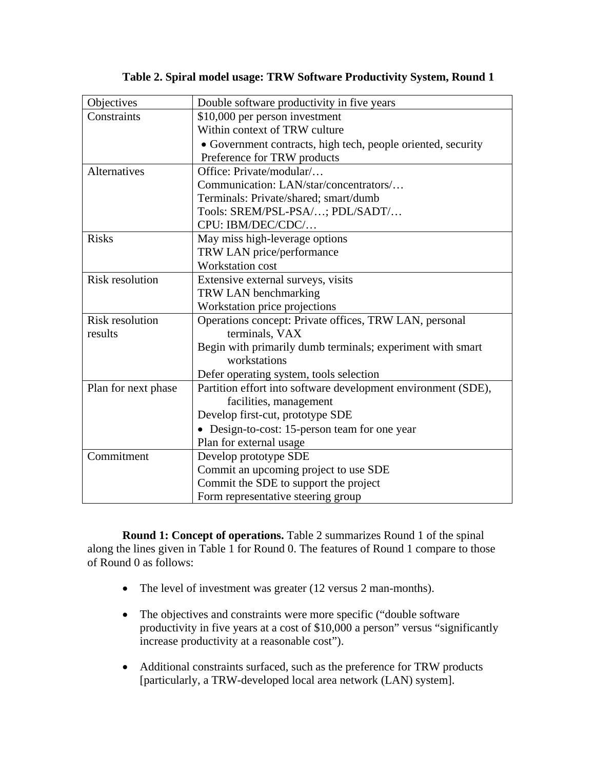| Objectives             | Double software productivity in five years                    |
|------------------------|---------------------------------------------------------------|
| Constraints            | \$10,000 per person investment                                |
|                        | Within context of TRW culture                                 |
|                        | • Government contracts, high tech, people oriented, security  |
|                        | Preference for TRW products                                   |
| <b>Alternatives</b>    | Office: Private/modular/                                      |
|                        | Communication: LAN/star/concentrators/                        |
|                        | Terminals: Private/shared; smart/dumb                         |
|                        | Tools: SREM/PSL-PSA/; PDL/SADT/                               |
|                        | CPU: IBM/DEC/CDC/                                             |
| <b>Risks</b>           | May miss high-leverage options                                |
|                        | TRW LAN price/performance                                     |
|                        | <b>Workstation cost</b>                                       |
| <b>Risk resolution</b> | Extensive external surveys, visits                            |
|                        | TRW LAN benchmarking                                          |
|                        | Workstation price projections                                 |
| <b>Risk resolution</b> | Operations concept: Private offices, TRW LAN, personal        |
| results                | terminals, VAX                                                |
|                        | Begin with primarily dumb terminals; experiment with smart    |
|                        | workstations                                                  |
|                        | Defer operating system, tools selection                       |
| Plan for next phase    | Partition effort into software development environment (SDE), |
|                        | facilities, management                                        |
|                        | Develop first-cut, prototype SDE                              |
|                        | • Design-to-cost: 15-person team for one year                 |
|                        | Plan for external usage                                       |
| Commitment             | Develop prototype SDE                                         |
|                        | Commit an upcoming project to use SDE                         |
|                        | Commit the SDE to support the project                         |
|                        | Form representative steering group                            |

# **Table 2. Spiral model usage: TRW Software Productivity System, Round 1**

**Round 1: Concept of operations.** Table 2 summarizes Round 1 of the spinal along the lines given in Table 1 for Round 0. The features of Round 1 compare to those of Round 0 as follows:

- The level of investment was greater (12 versus 2 man-months).
- The objectives and constraints were more specific ("double software" productivity in five years at a cost of \$10,000 a person" versus "significantly increase productivity at a reasonable cost").
- Additional constraints surfaced, such as the preference for TRW products [particularly, a TRW-developed local area network (LAN) system].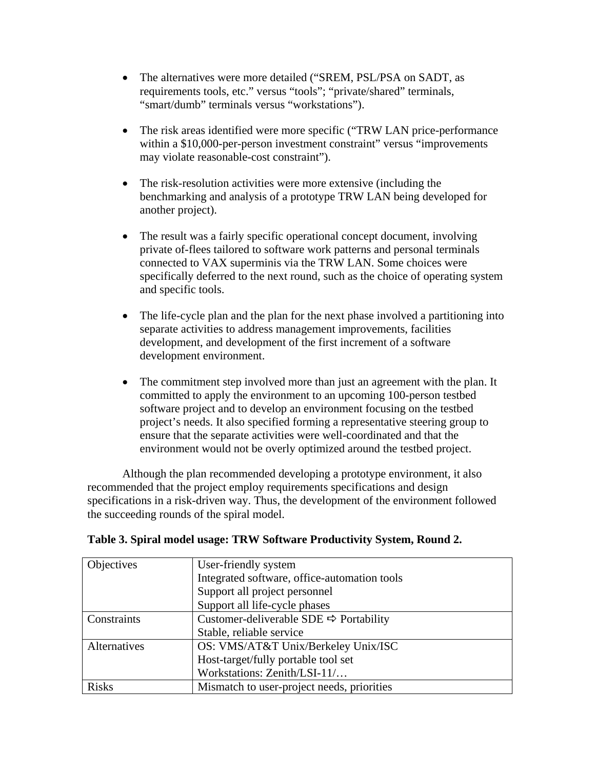- The alternatives were more detailed ("SREM, PSL/PSA on SADT, as requirements tools, etc." versus "tools"; "private/shared" terminals, "smart/dumb" terminals versus "workstations").
- The risk areas identified were more specific ("TRW LAN price-performance" within a \$10,000-per-person investment constraint" versus "improvements may violate reasonable-cost constraint").
- The risk-resolution activities were more extensive (including the benchmarking and analysis of a prototype TRW LAN being developed for another project).
- The result was a fairly specific operational concept document, involving private of-flees tailored to software work patterns and personal terminals connected to VAX superminis via the TRW LAN. Some choices were specifically deferred to the next round, such as the choice of operating system and specific tools.
- The life-cycle plan and the plan for the next phase involved a partitioning into separate activities to address management improvements, facilities development, and development of the first increment of a software development environment.
- The commitment step involved more than just an agreement with the plan. It committed to apply the environment to an upcoming 100-person testbed software project and to develop an environment focusing on the testbed project's needs. It also specified forming a representative steering group to ensure that the separate activities were well-coordinated and that the environment would not be overly optimized around the testbed project.

Although the plan recommended developing a prototype environment, it also recommended that the project employ requirements specifications and design specifications in a risk-driven way. Thus, the development of the environment followed the succeeding rounds of the spiral model.

| Objectives   | User-friendly system                               |
|--------------|----------------------------------------------------|
|              | Integrated software, office-automation tools       |
|              | Support all project personnel                      |
|              | Support all life-cycle phases                      |
| Constraints  | Customer-deliverable SDE $\Rightarrow$ Portability |
|              | Stable, reliable service                           |
| Alternatives | OS: VMS/AT&T Unix/Berkeley Unix/ISC                |
|              | Host-target/fully portable tool set                |
|              | Workstations: Zenith/LSI-11/                       |
| <b>Risks</b> | Mismatch to user-project needs, priorities         |

## **Table 3. Spiral model usage: TRW Software Productivity System, Round 2.**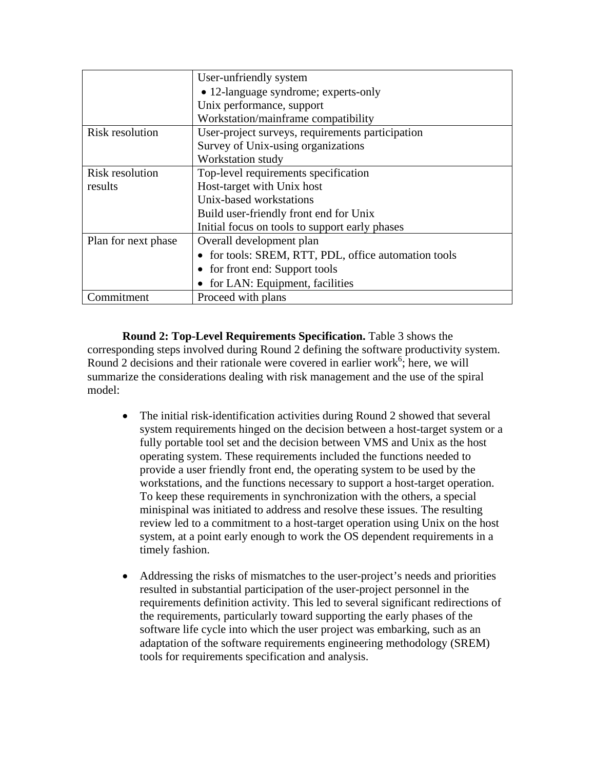|                     | User-unfriendly system                               |  |  |
|---------------------|------------------------------------------------------|--|--|
|                     | • 12-language syndrome; experts-only                 |  |  |
|                     | Unix performance, support                            |  |  |
|                     | Workstation/mainframe compatibility                  |  |  |
| Risk resolution     | User-project surveys, requirements participation     |  |  |
|                     | Survey of Unix-using organizations                   |  |  |
|                     | Workstation study                                    |  |  |
| Risk resolution     | Top-level requirements specification                 |  |  |
| results             | Host-target with Unix host                           |  |  |
|                     | Unix-based workstations                              |  |  |
|                     | Build user-friendly front end for Unix               |  |  |
|                     | Initial focus on tools to support early phases       |  |  |
| Plan for next phase | Overall development plan                             |  |  |
|                     | • for tools: SREM, RTT, PDL, office automation tools |  |  |
|                     | • for front end: Support tools                       |  |  |
|                     | for LAN: Equipment, facilities                       |  |  |
| Commitment          | Proceed with plans                                   |  |  |

**Round 2: Top-Level Requirements Specification.** Table 3 shows the corresponding steps involved during Round 2 defining the software productivity system. Round 2 decisions and their rationale were covered in earlier work<sup>6</sup>; here, we will summarize the considerations dealing with risk management and the use of the spiral model:

- The initial risk-identification activities during Round 2 showed that several system requirements hinged on the decision between a host-target system or a fully portable tool set and the decision between VMS and Unix as the host operating system. These requirements included the functions needed to provide a user friendly front end, the operating system to be used by the workstations, and the functions necessary to support a host-target operation. To keep these requirements in synchronization with the others, a special minispinal was initiated to address and resolve these issues. The resulting review led to a commitment to a host-target operation using Unix on the host system, at a point early enough to work the OS dependent requirements in a timely fashion.
- Addressing the risks of mismatches to the user-project's needs and priorities resulted in substantial participation of the user-project personnel in the requirements definition activity. This led to several significant redirections of the requirements, particularly toward supporting the early phases of the software life cycle into which the user project was embarking, such as an adaptation of the software requirements engineering methodology (SREM) tools for requirements specification and analysis.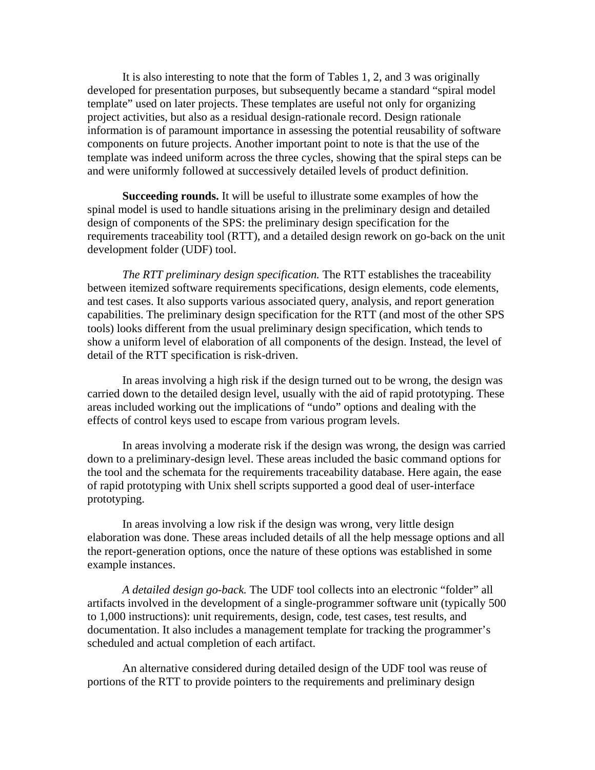It is also interesting to note that the form of Tables 1, 2, and 3 was originally developed for presentation purposes, but subsequently became a standard "spiral model template" used on later projects. These templates are useful not only for organizing project activities, but also as a residual design-rationale record. Design rationale information is of paramount importance in assessing the potential reusability of software components on future projects. Another important point to note is that the use of the template was indeed uniform across the three cycles, showing that the spiral steps can be and were uniformly followed at successively detailed levels of product definition.

**Succeeding rounds.** It will be useful to illustrate some examples of how the spinal model is used to handle situations arising in the preliminary design and detailed design of components of the SPS: the preliminary design specification for the requirements traceability tool (RTT), and a detailed design rework on go-back on the unit development folder (UDF) tool.

*The RTT preliminary design specification.* The RTT establishes the traceability between itemized software requirements specifications, design elements, code elements, and test cases. It also supports various associated query, analysis, and report generation capabilities. The preliminary design specification for the RTT (and most of the other SPS tools) looks different from the usual preliminary design specification, which tends to show a uniform level of elaboration of all components of the design. Instead, the level of detail of the RTT specification is risk-driven.

In areas involving a high risk if the design turned out to be wrong, the design was carried down to the detailed design level, usually with the aid of rapid prototyping. These areas included working out the implications of "undo" options and dealing with the effects of control keys used to escape from various program levels.

In areas involving a moderate risk if the design was wrong, the design was carried down to a preliminary-design level. These areas included the basic command options for the tool and the schemata for the requirements traceability database. Here again, the ease of rapid prototyping with Unix shell scripts supported a good deal of user-interface prototyping.

In areas involving a low risk if the design was wrong, very little design elaboration was done. These areas included details of all the help message options and all the report-generation options, once the nature of these options was established in some example instances.

*A detailed design go-back.* The UDF tool collects into an electronic "folder" all artifacts involved in the development of a single-programmer software unit (typically 500 to 1,000 instructions): unit requirements, design, code, test cases, test results, and documentation. It also includes a management template for tracking the programmer's scheduled and actual completion of each artifact.

An alternative considered during detailed design of the UDF tool was reuse of portions of the RTT to provide pointers to the requirements and preliminary design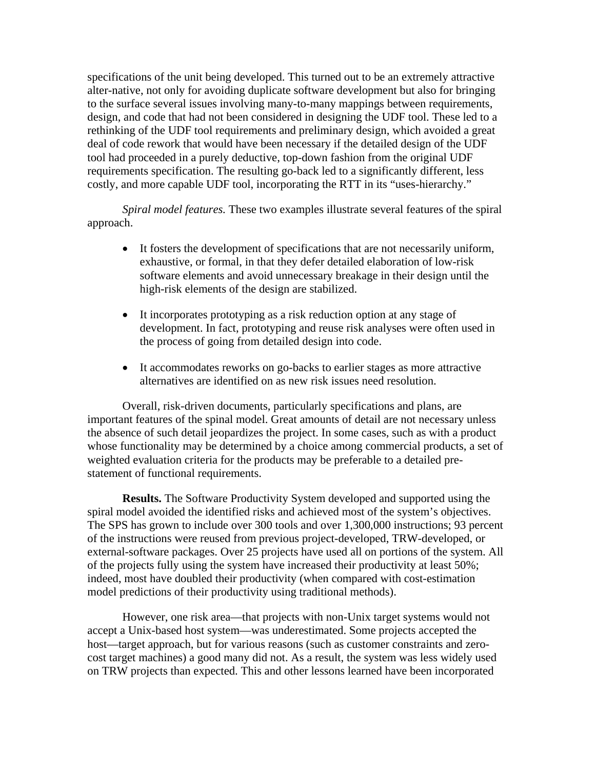specifications of the unit being developed. This turned out to be an extremely attractive alter-native, not only for avoiding duplicate software development but also for bringing to the surface several issues involving many-to-many mappings between requirements, design, and code that had not been considered in designing the UDF tool. These led to a rethinking of the UDF tool requirements and preliminary design, which avoided a great deal of code rework that would have been necessary if the detailed design of the UDF tool had proceeded in a purely deductive, top-down fashion from the original UDF requirements specification. The resulting go-back led to a significantly different, less costly, and more capable UDF tool, incorporating the RTT in its "uses-hierarchy."

*Spiral model features.* These two examples illustrate several features of the spiral approach.

- It fosters the development of specifications that are not necessarily uniform, exhaustive, or formal, in that they defer detailed elaboration of low-risk software elements and avoid unnecessary breakage in their design until the high-risk elements of the design are stabilized.
- It incorporates prototyping as a risk reduction option at any stage of development. In fact, prototyping and reuse risk analyses were often used in the process of going from detailed design into code.
- It accommodates reworks on go-backs to earlier stages as more attractive alternatives are identified on as new risk issues need resolution.

Overall, risk-driven documents, particularly specifications and plans, are important features of the spinal model. Great amounts of detail are not necessary unless the absence of such detail jeopardizes the project. In some cases, such as with a product whose functionality may be determined by a choice among commercial products, a set of weighted evaluation criteria for the products may be preferable to a detailed prestatement of functional requirements.

**Results.** The Software Productivity System developed and supported using the spiral model avoided the identified risks and achieved most of the system's objectives. The SPS has grown to include over 300 tools and over 1,300,000 instructions; 93 percent of the instructions were reused from previous project-developed, TRW-developed, or external-software packages. Over 25 projects have used all on portions of the system. All of the projects fully using the system have increased their productivity at least 50%; indeed, most have doubled their productivity (when compared with cost-estimation model predictions of their productivity using traditional methods).

However, one risk area—that projects with non-Unix target systems would not accept a Unix-based host system—was underestimated. Some projects accepted the host—target approach, but for various reasons (such as customer constraints and zerocost target machines) a good many did not. As a result, the system was less widely used on TRW projects than expected. This and other lessons learned have been incorporated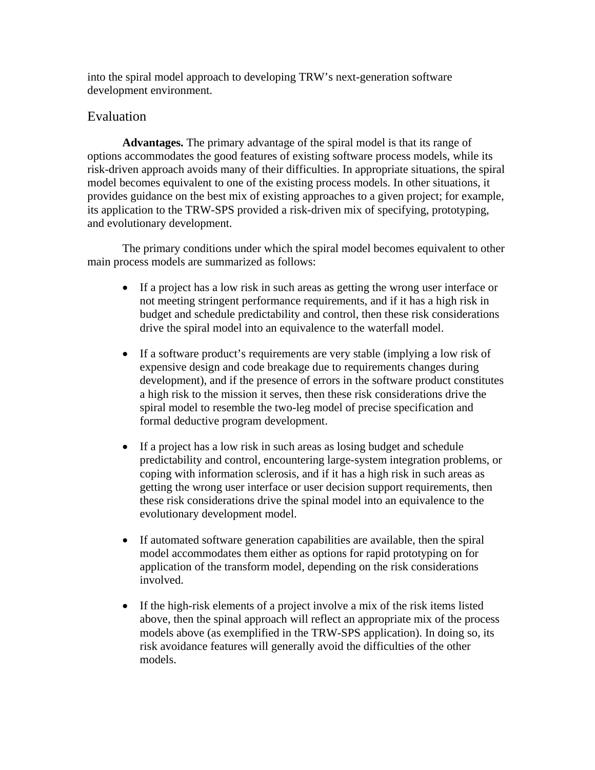into the spiral model approach to developing TRW's next-generation software development environment.

# Evaluation

**Advantages.** The primary advantage of the spiral model is that its range of options accommodates the good features of existing software process models, while its risk-driven approach avoids many of their difficulties. In appropriate situations, the spiral model becomes equivalent to one of the existing process models. In other situations, it provides guidance on the best mix of existing approaches to a given project; for example, its application to the TRW-SPS provided a risk-driven mix of specifying, prototyping, and evolutionary development.

The primary conditions under which the spiral model becomes equivalent to other main process models are summarized as follows:

- If a project has a low risk in such areas as getting the wrong user interface or not meeting stringent performance requirements, and if it has a high risk in budget and schedule predictability and control, then these risk considerations drive the spiral model into an equivalence to the waterfall model.
- If a software product's requirements are very stable (implying a low risk of expensive design and code breakage due to requirements changes during development), and if the presence of errors in the software product constitutes a high risk to the mission it serves, then these risk considerations drive the spiral model to resemble the two-leg model of precise specification and formal deductive program development.
- If a project has a low risk in such areas as losing budget and schedule predictability and control, encountering large-system integration problems, or coping with information sclerosis, and if it has a high risk in such areas as getting the wrong user interface or user decision support requirements, then these risk considerations drive the spinal model into an equivalence to the evolutionary development model.
- If automated software generation capabilities are available, then the spiral model accommodates them either as options for rapid prototyping on for application of the transform model, depending on the risk considerations involved.
- If the high-risk elements of a project involve a mix of the risk items listed above, then the spinal approach will reflect an appropriate mix of the process models above (as exemplified in the TRW-SPS application). In doing so, its risk avoidance features will generally avoid the difficulties of the other models.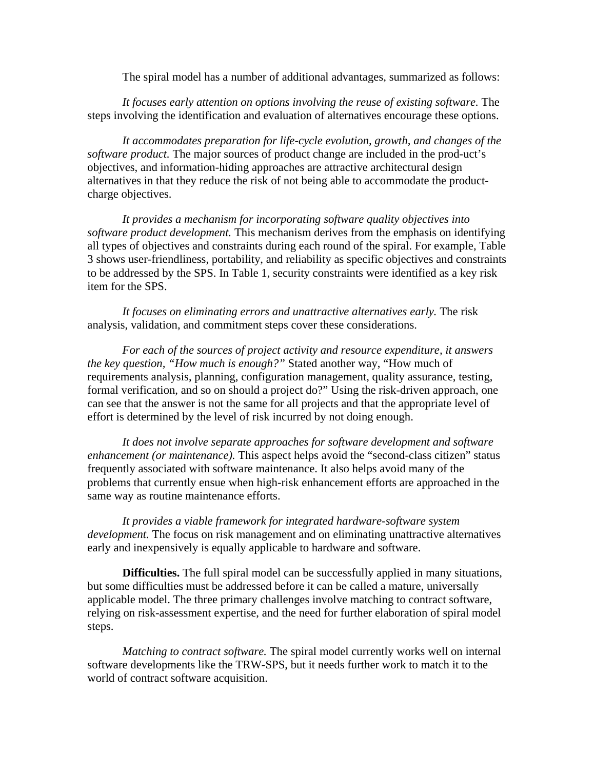The spiral model has a number of additional advantages, summarized as follows:

*It focuses early attention on options involving the reuse of existing software.* The steps involving the identification and evaluation of alternatives encourage these options.

*It accommodates preparation for life-cycle evolution, growth, and changes of the software product.* The major sources of product change are included in the prod-uct's objectives, and information-hiding approaches are attractive architectural design alternatives in that they reduce the risk of not being able to accommodate the productcharge objectives.

*It provides a mechanism for incorporating software quality objectives into software product development.* This mechanism derives from the emphasis on identifying all types of objectives and constraints during each round of the spiral. For example, Table 3 shows user-friendliness, portability, and reliability as specific objectives and constraints to be addressed by the SPS. In Table 1, security constraints were identified as a key risk item for the SPS.

*It focuses on eliminating errors and unattractive alternatives early.* The risk analysis, validation, and commitment steps cover these considerations.

*For each of the sources of project activity and resource expenditure, it answers the key question, "How much is enough?"* Stated another way, "How much of requirements analysis, planning, configuration management, quality assurance, testing, formal verification, and so on should a project do?" Using the risk-driven approach, one can see that the answer is not the same for all projects and that the appropriate level of effort is determined by the level of risk incurred by not doing enough.

*It does not involve separate approaches for software development and software enhancement (or maintenance).* This aspect helps avoid the "second-class citizen" status frequently associated with software maintenance. It also helps avoid many of the problems that currently ensue when high-risk enhancement efforts are approached in the same way as routine maintenance efforts.

*It provides a viable framework for integrated hardware-software system development.* The focus on risk management and on eliminating unattractive alternatives early and inexpensively is equally applicable to hardware and software.

**Difficulties.** The full spiral model can be successfully applied in many situations, but some difficulties must be addressed before it can be called a mature, universally applicable model. The three primary challenges involve matching to contract software, relying on risk-assessment expertise, and the need for further elaboration of spiral model steps.

*Matching to contract software.* The spiral model currently works well on internal software developments like the TRW-SPS, but it needs further work to match it to the world of contract software acquisition.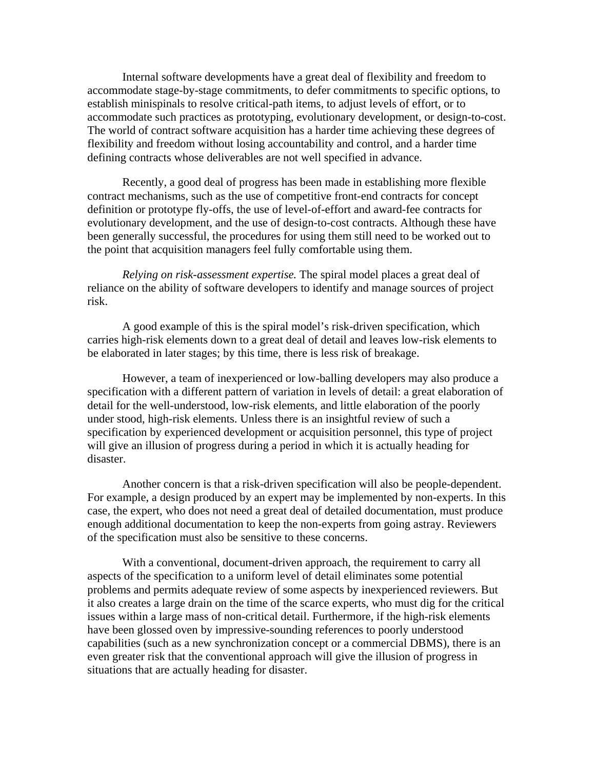Internal software developments have a great deal of flexibility and freedom to accommodate stage-by-stage commitments, to defer commitments to specific options, to establish minispinals to resolve critical-path items, to adjust levels of effort, or to accommodate such practices as prototyping, evolutionary development, or design-to-cost. The world of contract software acquisition has a harder time achieving these degrees of flexibility and freedom without losing accountability and control, and a harder time defining contracts whose deliverables are not well specified in advance.

Recently, a good deal of progress has been made in establishing more flexible contract mechanisms, such as the use of competitive front-end contracts for concept definition or prototype fly-offs, the use of level-of-effort and award-fee contracts for evolutionary development, and the use of design-to-cost contracts. Although these have been generally successful, the procedures for using them still need to be worked out to the point that acquisition managers feel fully comfortable using them.

*Relying on risk-assessment expertise.* The spiral model places a great deal of reliance on the ability of software developers to identify and manage sources of project risk.

A good example of this is the spiral model's risk-driven specification, which carries high-risk elements down to a great deal of detail and leaves low-risk elements to be elaborated in later stages; by this time, there is less risk of breakage.

However, a team of inexperienced or low-balling developers may also produce a specification with a different pattern of variation in levels of detail: a great elaboration of detail for the well-understood, low-risk elements, and little elaboration of the poorly under stood, high-risk elements. Unless there is an insightful review of such a specification by experienced development or acquisition personnel, this type of project will give an illusion of progress during a period in which it is actually heading for disaster.

Another concern is that a risk-driven specification will also be people-dependent. For example, a design produced by an expert may be implemented by non-experts. In this case, the expert, who does not need a great deal of detailed documentation, must produce enough additional documentation to keep the non-experts from going astray. Reviewers of the specification must also be sensitive to these concerns.

With a conventional, document-driven approach, the requirement to carry all aspects of the specification to a uniform level of detail eliminates some potential problems and permits adequate review of some aspects by inexperienced reviewers. But it also creates a large drain on the time of the scarce experts, who must dig for the critical issues within a large mass of non-critical detail. Furthermore, if the high-risk elements have been glossed oven by impressive-sounding references to poorly understood capabilities (such as a new synchronization concept or a commercial DBMS), there is an even greater risk that the conventional approach will give the illusion of progress in situations that are actually heading for disaster.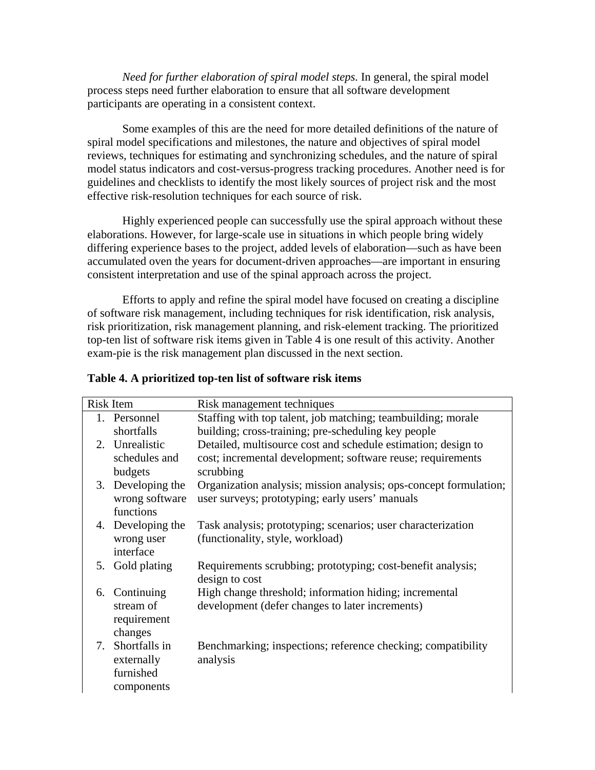*Need for further elaboration of spiral model steps.* In general, the spiral model process steps need further elaboration to ensure that all software development participants are operating in a consistent context.

Some examples of this are the need for more detailed definitions of the nature of spiral model specifications and milestones, the nature and objectives of spiral model reviews, techniques for estimating and synchronizing schedules, and the nature of spiral model status indicators and cost-versus-progress tracking procedures. Another need is for guidelines and checklists to identify the most likely sources of project risk and the most effective risk-resolution techniques for each source of risk.

Highly experienced people can successfully use the spiral approach without these elaborations. However, for large-scale use in situations in which people bring widely differing experience bases to the project, added levels of elaboration—such as have been accumulated oven the years for document-driven approaches—are important in ensuring consistent interpretation and use of the spinal approach across the project.

Efforts to apply and refine the spiral model have focused on creating a discipline of software risk management, including techniques for risk identification, risk analysis, risk prioritization, risk management planning, and risk-element tracking. The prioritized top-ten list of software risk items given in Table 4 is one result of this activity. Another exam-pie is the risk management plan discussed in the next section.

|    | <b>Risk Item</b>  | Risk management techniques                                        |
|----|-------------------|-------------------------------------------------------------------|
|    | 1. Personnel      | Staffing with top talent, job matching; teambuilding; morale      |
|    | shortfalls        | building; cross-training; pre-scheduling key people               |
|    | 2. Unrealistic    | Detailed, multisource cost and schedule estimation; design to     |
|    | schedules and     | cost; incremental development; software reuse; requirements       |
|    | budgets           | scrubbing                                                         |
|    | 3. Developing the | Organization analysis; mission analysis; ops-concept formulation; |
|    | wrong software    | user surveys; prototyping; early users' manuals                   |
|    | functions         |                                                                   |
|    | 4. Developing the | Task analysis; prototyping; scenarios; user characterization      |
|    | wrong user        | (functionality, style, workload)                                  |
|    | interface         |                                                                   |
| 5. | Gold plating      | Requirements scrubbing; prototyping; cost-benefit analysis;       |
|    |                   | design to cost                                                    |
| 6. | Continuing        | High change threshold; information hiding; incremental            |
|    | stream of         | development (defer changes to later increments)                   |
|    | requirement       |                                                                   |
|    | changes           |                                                                   |
|    | 7. Shortfalls in  | Benchmarking; inspections; reference checking; compatibility      |
|    | externally        | analysis                                                          |
|    | furnished         |                                                                   |
|    | components        |                                                                   |

#### **Table 4. A prioritized top-ten list of software risk items**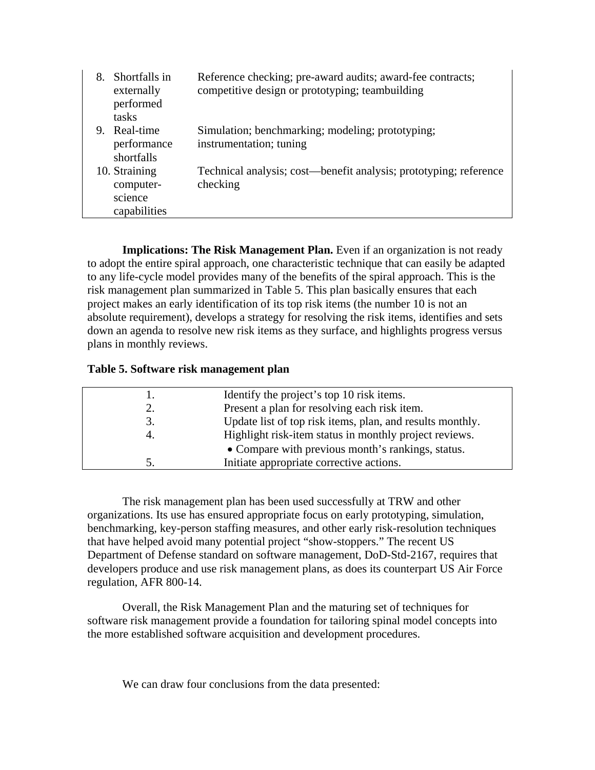| Shortfalls in<br>8.<br>externally<br>performed<br>tasks | Reference checking; pre-award audits; award-fee contracts;<br>competitive design or prototyping; teambuilding |
|---------------------------------------------------------|---------------------------------------------------------------------------------------------------------------|
| 9. Real-time<br>performance<br>shortfalls               | Simulation; benchmarking; modeling; prototyping;<br>instrumentation; tuning                                   |
| 10. Straining<br>computer-<br>science<br>capabilities   | Technical analysis; cost—benefit analysis; prototyping; reference<br>checking                                 |

**Implications: The Risk Management Plan.** Even if an organization is not ready to adopt the entire spiral approach, one characteristic technique that can easily be adapted to any life-cycle model provides many of the benefits of the spiral approach. This is the risk management plan summarized in Table 5. This plan basically ensures that each project makes an early identification of its top risk items (the number 10 is not an absolute requirement), develops a strategy for resolving the risk items, identifies and sets down an agenda to resolve new risk items as they surface, and highlights progress versus plans in monthly reviews.

## **Table 5. Software risk management plan**

| Identify the project's top 10 risk items.                 |
|-----------------------------------------------------------|
| Present a plan for resolving each risk item.              |
| Update list of top risk items, plan, and results monthly. |
| Highlight risk-item status in monthly project reviews.    |
| • Compare with previous month's rankings, status.         |
| Initiate appropriate corrective actions.                  |

The risk management plan has been used successfully at TRW and other organizations. Its use has ensured appropriate focus on early prototyping, simulation, benchmarking, key-person staffing measures, and other early risk-resolution techniques that have helped avoid many potential project "show-stoppers." The recent US Department of Defense standard on software management, DoD-Std-2167, requires that developers produce and use risk management plans, as does its counterpart US Air Force regulation, AFR 800-14.

Overall, the Risk Management Plan and the maturing set of techniques for software risk management provide a foundation for tailoring spinal model concepts into the more established software acquisition and development procedures.

We can draw four conclusions from the data presented: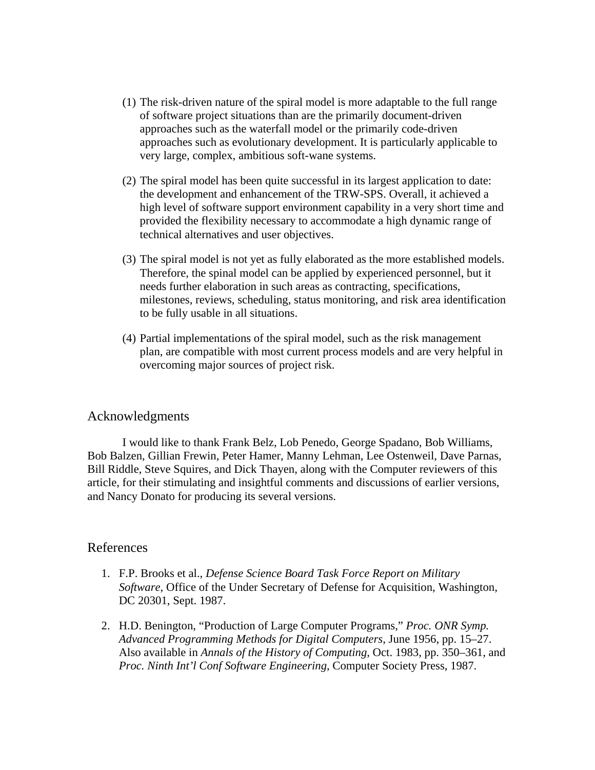- (1) The risk-driven nature of the spiral model is more adaptable to the full range of software project situations than are the primarily document-driven approaches such as the waterfall model or the primarily code-driven approaches such as evolutionary development. It is particularly applicable to very large, complex, ambitious soft-wane systems.
- (2) The spiral model has been quite successful in its largest application to date: the development and enhancement of the TRW-SPS. Overall, it achieved a high level of software support environment capability in a very short time and provided the flexibility necessary to accommodate a high dynamic range of technical alternatives and user objectives.
- (3) The spiral model is not yet as fully elaborated as the more established models. Therefore, the spinal model can be applied by experienced personnel, but it needs further elaboration in such areas as contracting, specifications, milestones, reviews, scheduling, status monitoring, and risk area identification to be fully usable in all situations.
- (4) Partial implementations of the spiral model, such as the risk management plan, are compatible with most current process models and are very helpful in overcoming major sources of project risk.

# Acknowledgments

I would like to thank Frank Belz, Lob Penedo, George Spadano, Bob Williams, Bob Balzen, Gillian Frewin, Peter Hamer, Manny Lehman, Lee Ostenweil, Dave Parnas, Bill Riddle, Steve Squires, and Dick Thayen, along with the Computer reviewers of this article, for their stimulating and insightful comments and discussions of earlier versions, and Nancy Donato for producing its several versions.

# References

- 1. F.P. Brooks et al., *Defense Science Board Task Force Report on Military Software*, Office of the Under Secretary of Defense for Acquisition, Washington, DC 20301, Sept. 1987.
- 2. H.D. Benington, "Production of Large Computer Programs," *Proc. ONR Symp. Advanced Programming Methods for Digital Computers*, June 1956, pp. 15–27. Also available in *Annals of the History of Computing*, Oct. 1983, pp. 350–361, and *Proc. Ninth Int'l Conf Software Engineering*, Computer Society Press, 1987.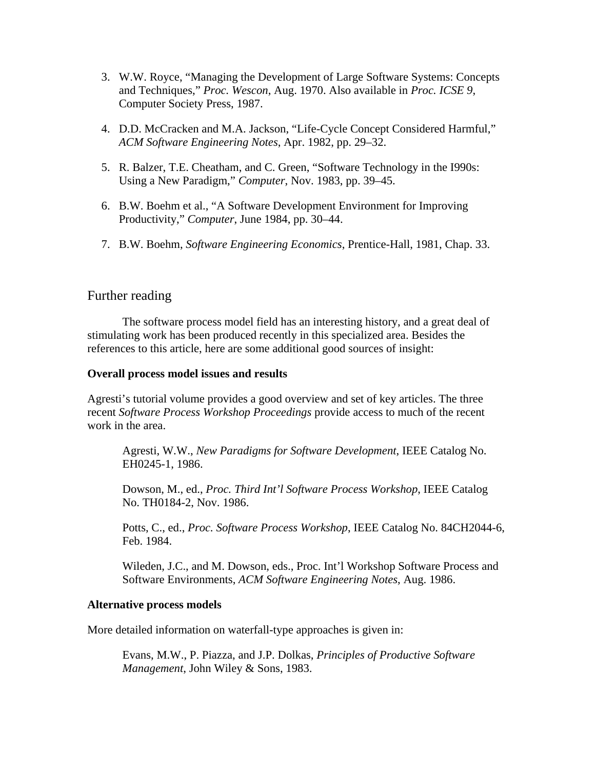- 3. W.W. Royce, "Managing the Development of Large Software Systems: Concepts and Techniques," *Proc. Wescon*, Aug. 1970. Also available in *Proc. ICSE 9*, Computer Society Press, 1987.
- 4. D.D. McCracken and M.A. Jackson, "Life-Cycle Concept Considered Harmful," *ACM Software Engineering Notes*, Apr. 1982, pp. 29–32.
- 5. R. Balzer, T.E. Cheatham, and C. Green, "Software Technology in the I990s: Using a New Paradigm," *Computer*, Nov. 1983, pp. 39–45.
- 6. B.W. Boehm et al., "A Software Development Environment for Improving Productivity," *Computer*, June 1984, pp. 30–44.
- 7. B.W. Boehm, *Software Engineering Economics*, Prentice-Hall, 1981, Chap. 33.

# Further reading

The software process model field has an interesting history, and a great deal of stimulating work has been produced recently in this specialized area. Besides the references to this article, here are some additional good sources of insight:

#### **Overall process model issues and results**

Agresti's tutorial volume provides a good overview and set of key articles. The three recent *Software Process Workshop Proceedings* provide access to much of the recent work in the area.

Agresti, W.W., *New Paradigms for Software Development*, IEEE Catalog No. EH0245-1, 1986.

Dowson, M., ed., *Proc. Third Int'l Software Process Workshop*, IEEE Catalog No. TH0184-2, Nov. 1986.

Potts, C., ed., *Proc. Software Process Workshop*, IEEE Catalog No. 84CH2044-6, Feb. 1984.

Wileden, J.C., and M. Dowson, eds., Proc. Int'l Workshop Software Process and Software Environments, *ACM Software Engineering Notes*, Aug. 1986.

#### **Alternative process models**

More detailed information on waterfall-type approaches is given in:

Evans, M.W., P. Piazza, and J.P. Dolkas, *Principles of Productive Software Management*, John Wiley & Sons, 1983.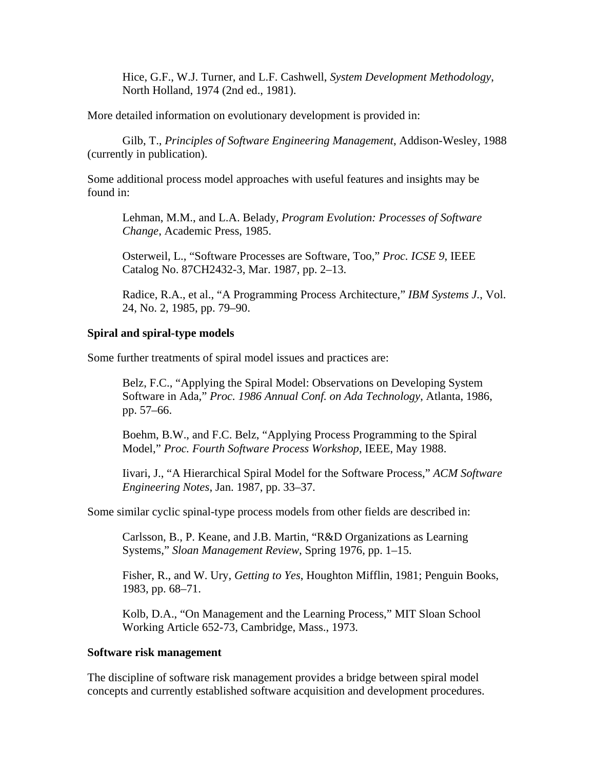Hice, G.F., W.J. Turner, and L.F. Cashwell, *System Development Methodology*, North Holland, 1974 (2nd ed., 1981).

More detailed information on evolutionary development is provided in:

Gilb, T., *Principles of Software Engineering Management*, Addison-Wesley, 1988 (currently in publication).

Some additional process model approaches with useful features and insights may be found in:

Lehman, M.M., and L.A. Belady, *Program Evolution: Processes of Software Change*, Academic Press, 1985.

Osterweil, L., "Software Processes are Software, Too," *Proc. ICSE 9*, IEEE Catalog No. 87CH2432-3, Mar. 1987, pp. 2–13.

Radice, R.A., et al., "A Programming Process Architecture," *IBM Systems J.*, Vol. 24, No. 2, 1985, pp. 79–90.

#### **Spiral and spiral-type models**

Some further treatments of spiral model issues and practices are:

Belz, F.C., "Applying the Spiral Model: Observations on Developing System Software in Ada," *Proc. 1986 Annual Conf. on Ada Technology*, Atlanta, 1986, pp. 57–66.

Boehm, B.W., and F.C. Belz, "Applying Process Programming to the Spiral Model," *Proc. Fourth Software Process Workshop*, IEEE, May 1988.

Iivari, J., "A Hierarchical Spiral Model for the Software Process," *ACM Software Engineering Notes*, Jan. 1987, pp. 33–37.

Some similar cyclic spinal-type process models from other fields are described in:

Carlsson, B., P. Keane, and J.B. Martin, "R&D Organizations as Learning Systems," *Sloan Management Review*, Spring 1976, pp. 1–15.

Fisher, R., and W. Ury, *Getting to Yes*, Houghton Mifflin, 1981; Penguin Books, 1983, pp. 68–71.

Kolb, D.A., "On Management and the Learning Process," MIT Sloan School Working Article 652-73, Cambridge, Mass., 1973.

#### **Software risk management**

The discipline of software risk management provides a bridge between spiral model concepts and currently established software acquisition and development procedures.